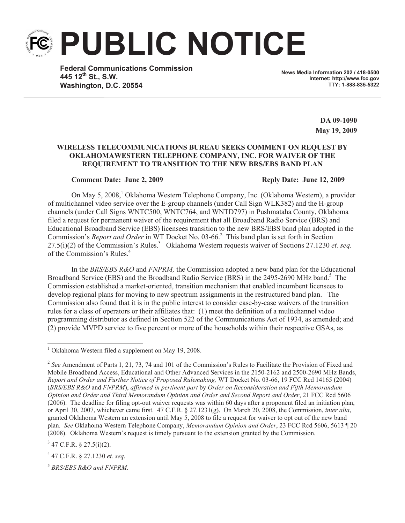**PUBLIC NOTICE**

**Federal Communications Commission 445 12th St., S.W. Washington, D.C. 20554**

**News Media Information 202 / 418-0500 Internet: http://www.fcc.gov TTY: 1-888-835-5322**

> **DA 09-1090 May 19, 2009**

## **WIRELESS TELECOMMUNICATIONS BUREAU SEEKS COMMENT ON REQUEST BY OKLAHOMAWESTERN TELEPHONE COMPANY, INC. FOR WAIVER OF THE REQUIREMENT TO TRANSITION TO THE NEW BRS/EBS BAND PLAN**

## **Comment Date: June 2, 2009 Reply Date: June 12, 2009**

On May 5, 2008,<sup>1</sup> Oklahoma Western Telephone Company, Inc. (Oklahoma Western), a provider of multichannel video service over the E-group channels (under Call Sign WLK382) and the H-group channels (under Call Signs WNTC500, WNTC764, and WNTD797) in Pushmataha County, Oklahoma filed a request for permanent waiver of the requirement that all Broadband Radio Service (BRS) and Educational Broadband Service (EBS) licensees transition to the new BRS/EBS band plan adopted in the Commission's *Report and Order* in WT Docket No. 03-66.<sup>2</sup> This band plan is set forth in Section 27.5(i)(2) of the Commission's Rules.<sup>3</sup> Oklahoma Western requests waiver of Sections 27.1230 *et. seq.* of the Commission's Rules.<sup>4</sup>

In the *BRS/EBS R&O* and *FNPRM,* the Commission adopted a new band plan for the Educational Broadband Service (EBS) and the Broadband Radio Service (BRS) in the 2495-2690 MHz band.<sup>5</sup> The Commission established a market-oriented, transition mechanism that enabled incumbent licensees to develop regional plans for moving to new spectrum assignments in the restructured band plan. The Commission also found that it is in the public interest to consider case-by-case waivers of the transition rules for a class of operators or their affiliates that: (1) meet the definition of a multichannel video programming distributor as defined in Section 522 of the Communications Act of 1934, as amended; and (2) provide MVPD service to five percent or more of the households within their respective GSAs, as

 $3$  47 C.F.R. § 27.5(i)(2).

4 47 C.F.R. § 27.1230 *et. seq.*

<sup>5</sup> *BRS/EBS R&O and FNPRM*.

 $1$  Oklahoma Western filed a supplement on May 19, 2008.

<sup>&</sup>lt;sup>2</sup> See Amendment of Parts 1, 21, 73, 74 and 101 of the Commission's Rules to Facilitate the Provision of Fixed and Mobile Broadband Access, Educational and Other Advanced Services in the 2150-2162 and 2500-2690 MHz Bands, *Report and Order and Further Notice of Proposed Rulemaking,* WT Docket No. 03-66, 19 FCC Rcd 14165 (2004) (*BRS/EBS R&O* and *FNPRM*), *affirmed in pertinent part* by *Order on Reconsideration and Fifth Memorandum Opinion and Order and Third Memorandum Opinion and Order and Second Report and Order*, 21 FCC Rcd 5606 (2006). The deadline for filing opt-out waiver requests was within 60 days after a proponent filed an initiation plan, or April 30, 2007, whichever came first. 47 C.F.R. § 27.1231(g). On March 20, 2008, the Commission, *inter alia*, granted Oklahoma Western an extension until May 5, 2008 to file a request for waiver to opt out of the new band plan. *See* Oklahoma Western Telephone Company, *Memorandum Opinion and Order*, 23 FCC Rcd 5606, 5613 ¶ 20 (2008). Oklahoma Western's request is timely pursuant to the extension granted by the Commission.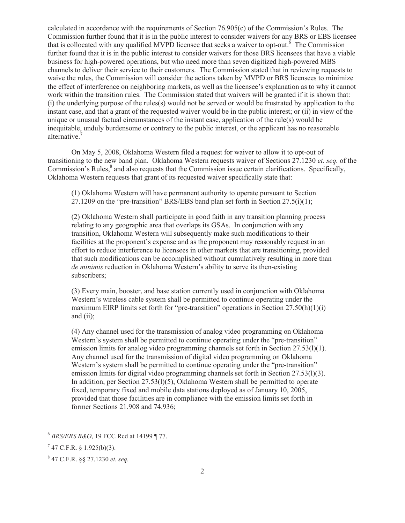calculated in accordance with the requirements of Section 76.905(c) of the Commission's Rules. The Commission further found that it is in the public interest to consider waivers for any BRS or EBS licensee that is collocated with any qualified MVPD licensee that seeks a waiver to opt-out.<sup> $6$ </sup> The Commission further found that it is in the public interest to consider waivers for those BRS licensees that have a viable business for high-powered operations, but who need more than seven digitized high-powered MBS channels to deliver their service to their customers. The Commission stated that in reviewing requests to waive the rules, the Commission will consider the actions taken by MVPD or BRS licensees to minimize the effect of interference on neighboring markets, as well as the licensee's explanation as to why it cannot work within the transition rules. The Commission stated that waivers will be granted if it is shown that: (i) the underlying purpose of the rules(s) would not be served or would be frustrated by application to the instant case, and that a grant of the requested waiver would be in the public interest; or (ii) in view of the unique or unusual factual circumstances of the instant case, application of the rule(s) would be inequitable, unduly burdensome or contrary to the public interest, or the applicant has no reasonable alternative.<sup>7</sup>

On May 5, 2008, Oklahoma Western filed a request for waiver to allow it to opt-out of transitioning to the new band plan. Oklahoma Western requests waiver of Sections 27.1230 *et. seq.* of the Commission's Rules,<sup>8</sup> and also requests that the Commission issue certain clarifications. Specifically, Oklahoma Western requests that grant of its requested waiver specifically state that:

(1) Oklahoma Western will have permanent authority to operate pursuant to Section 27.1209 on the "pre-transition" BRS/EBS band plan set forth in Section  $27.5(i)(1)$ ;

(2) Oklahoma Western shall participate in good faith in any transition planning process relating to any geographic area that overlaps its GSAs. In conjunction with any transition, Oklahoma Western will subsequently make such modifications to their facilities at the proponent's expense and as the proponent may reasonably request in an effort to reduce interference to licensees in other markets that are transitioning, provided that such modifications can be accomplished without cumulatively resulting in more than *de minimis* reduction in Oklahoma Western's ability to serve its then-existing subscribers;

(3) Every main, booster, and base station currently used in conjunction with Oklahoma Western's wireless cable system shall be permitted to continue operating under the maximum EIRP limits set forth for "pre-transition" operations in Section  $27.50(h)(1)(i)$ and (ii);

(4) Any channel used for the transmission of analog video programming on Oklahoma Western's system shall be permitted to continue operating under the "pre-transition" emission limits for analog video programming channels set forth in Section 27.53(l)(1). Any channel used for the transmission of digital video programming on Oklahoma Western's system shall be permitted to continue operating under the "pre-transition" emission limits for digital video programming channels set forth in Section 27.53(l)(3). In addition, per Section 27.53(l)(5), Oklahoma Western shall be permitted to operate fixed, temporary fixed and mobile data stations deployed as of January 10, 2005, provided that those facilities are in compliance with the emission limits set forth in former Sections 21.908 and 74.936;

<sup>6</sup> *BRS/EBS R&O*, 19 FCC Rcd at 14199 ¶ 77.

 $7$  47 C.F.R. § 1.925(b)(3).

<sup>8</sup> 47 C.F.R. §§ 27.1230 *et. seq.*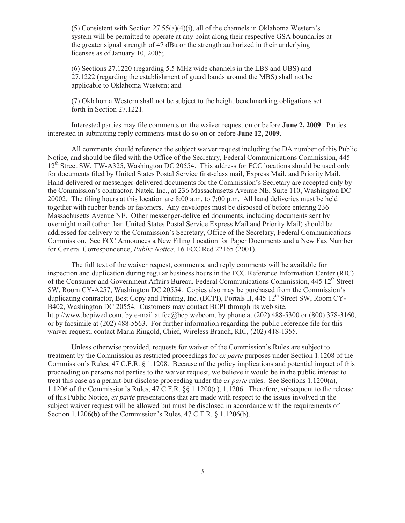(5) Consistent with Section  $27.55(a)(4)(i)$ , all of the channels in Oklahoma Western's system will be permitted to operate at any point along their respective GSA boundaries at the greater signal strength of 47 dBu or the strength authorized in their underlying licenses as of January 10, 2005;

(6) Sections 27.1220 (regarding 5.5 MHz wide channels in the LBS and UBS) and 27.1222 (regarding the establishment of guard bands around the MBS) shall not be applicable to Oklahoma Western; and

(7) Oklahoma Western shall not be subject to the height benchmarking obligations set forth in Section 27.1221.

Interested parties may file comments on the waiver request on or before **June 2, 2009**. Parties interested in submitting reply comments must do so on or before **June 12, 2009**.

All comments should reference the subject waiver request including the DA number of this Public Notice, and should be filed with the Office of the Secretary, Federal Communications Commission, 445 12<sup>th</sup> Street SW, TW-A325, Washington DC 20554. This address for FCC locations should be used only for documents filed by United States Postal Service first-class mail, Express Mail, and Priority Mail. Hand-delivered or messenger-delivered documents for the Commission's Secretary are accepted only by the Commission's contractor, Natek, Inc., at 236 Massachusetts Avenue NE, Suite 110, Washington DC 20002. The filing hours at this location are 8:00 a.m. to 7:00 p.m. All hand deliveries must be held together with rubber bands or fasteners. Any envelopes must be disposed of before entering 236 Massachusetts Avenue NE. Other messenger-delivered documents, including documents sent by overnight mail (other than United States Postal Service Express Mail and Priority Mail) should be addressed for delivery to the Commission's Secretary, Office of the Secretary, Federal Communications Commission. See FCC Announces a New Filing Location for Paper Documents and a New Fax Number for General Correspondence, *Public Notice*, 16 FCC Rcd 22165 (2001).

The full text of the waiver request, comments, and reply comments will be available for inspection and duplication during regular business hours in the FCC Reference Information Center (RIC) of the Consumer and Government Affairs Bureau, Federal Communications Commission, 445 12<sup>th</sup> Street SW, Room CY-A257, Washington DC 20554. Copies also may be purchased from the Commission's duplicating contractor, Best Copy and Printing, Inc. (BCPI), Portals II, 445 12<sup>th</sup> Street SW, Room CY-B402, Washington DC 20554. Customers may contact BCPI through its web site, http://www.bcpiwed.com, by e-mail at fcc@bcpiwebcom, by phone at (202) 488-5300 or (800) 378-3160, or by facsimile at (202) 488-5563. For further information regarding the public reference file for this waiver request, contact Maria Ringold, Chief, Wireless Branch, RIC, (202) 418-1355.

Unless otherwise provided, requests for waiver of the Commission's Rules are subject to treatment by the Commission as restricted proceedings for *ex parte* purposes under Section 1.1208 of the Commission's Rules, 47 C.F.R. § 1.1208. Because of the policy implications and potential impact of this proceeding on persons not parties to the waiver request, we believe it would be in the public interest to treat this case as a permit-but-disclose proceeding under the *ex parte* rules. See Sections 1.1200(a), 1.1206 of the Commission's Rules, 47 C.F.R. §§ 1.1200(a), 1.1206. Therefore, subsequent to the release of this Public Notice, *ex parte* presentations that are made with respect to the issues involved in the subject waiver request will be allowed but must be disclosed in accordance with the requirements of Section 1.1206(b) of the Commission's Rules, 47 C.F.R. § 1.1206(b).